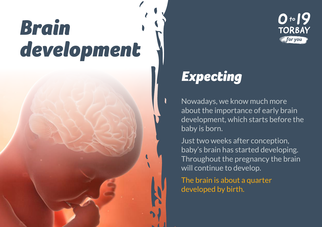## *Brain development*



## *Expecting*

Nowadays, we know much more about the importance of early brain development, which starts before the baby is born.

Just two weeks after conception, baby's brain has started developing. Throughout the pregnancy the brain will continue to develop.

The brain is about a quarter developed by birth.